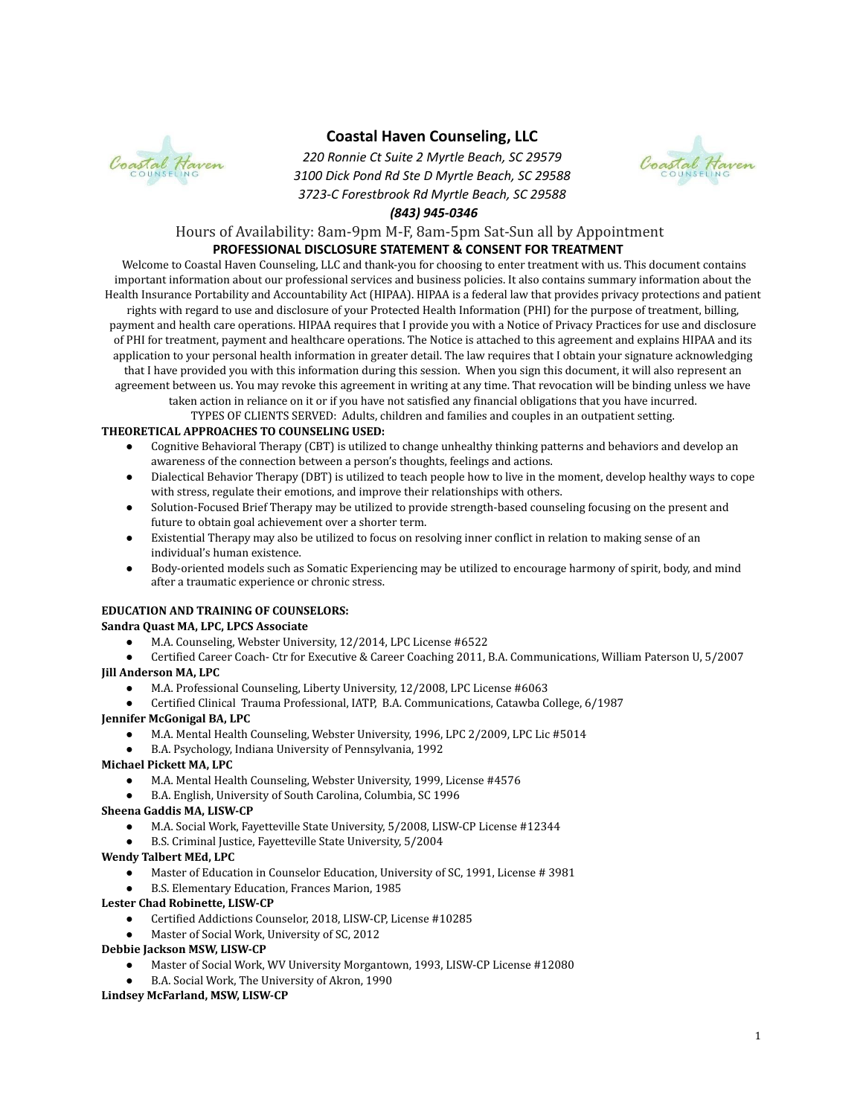

# **Coastal Haven Counseling, LLC**

*220 Ronnie Ct Suite 2 Myrtle Beach, SC 29579 3100 Dick Pond Rd Ste D Myrtle Beach, SC 29588 3723-C Forestbrook Rd Myrtle Beach, SC 29588*



### *(843) 945-0346*

Hours of Availability: 8am-9pm M-F, 8am-5pm Sat-Sun all by Appointment **PROFESSIONAL DISCLOSURE STATEMENT & CONSENT FOR TREATMENT**

Welcome to Coastal Haven Counseling, LLC and thank-you for choosing to enter treatment with us. This document contains important information about our professional services and business policies. It also contains summary information about the Health Insurance Portability and Accountability Act (HIPAA). HIPAA is a federal law that provides privacy protections and patient rights with regard to use and disclosure of your Protected Health Information (PHI) for the purpose of treatment, billing, payment and health care operations. HIPAA requires that I provide you with a Notice of Privacy Practices for use and disclosure of PHI for treatment, payment and healthcare operations. The Notice is attached to this agreement and explains HIPAA and its application to your personal health information in greater detail. The law requires that I obtain your signature acknowledging that I have provided you with this information during this session. When you sign this document, it will also represent an agreement between us. You may revoke this agreement in writing at any time. That revocation will be binding unless we have

taken action in reliance on it or if you have not satisfied any financial obligations that you have incurred.

TYPES OF CLIENTS SERVED: Adults, children and families and couples in an outpatient setting.

### **THEORETICAL APPROACHES TO COUNSELING USED:**

- Cognitive Behavioral Therapy (CBT) is utilized to change unhealthy thinking patterns and behaviors and develop an awareness of the connection between a person's thoughts, feelings and actions.
- Dialectical Behavior Therapy (DBT) is utilized to teach people how to live in the moment, develop healthy ways to cope with stress, regulate their emotions, and improve their relationships with others.
- Solution-Focused Brief Therapy may be utilized to provide strength-based counseling focusing on the present and future to obtain goal achievement over a shorter term.
- Existential Therapy may also be utilized to focus on resolving inner conflict in relation to making sense of an individual's human existence.
- Body-oriented models such as Somatic Experiencing may be utilized to encourage harmony of spirit, body, and mind after a traumatic experience or chronic stress.

## **EDUCATION AND TRAINING OF COUNSELORS:**

### **Sandra Quast MA, LPC, LPCS Associate**

- M.A. Counseling, Webster University, 12/2014, LPC License #6522
- Certified Career Coach- Ctr for Executive & Career Coaching 2011, B.A. Communications, William Paterson U, 5/2007 **Jill Anderson MA, LPC**
	- M.A. Professional Counseling, Liberty University, 12/2008, LPC License #6063
	- Certified Clinical Trauma Professional, IATP, B.A. Communications, Catawba College, 6/1987

### **Jennifer McGonigal BA, LPC**

- M.A. Mental Health Counseling, Webster University, 1996, LPC 2/2009, LPC Lic #5014
- B.A. Psychology, Indiana University of Pennsylvania, 1992

### **Michael Pickett MA, LPC**

- M.A. Mental Health Counseling, Webster University, 1999, License #4576
- B.A. English, University of South Carolina, Columbia, SC 1996

### **Sheena Gaddis MA, LISW-CP**

- M.A. Social Work, Fayetteville State University, 5/2008, LISW-CP License #12344
- B.S. Criminal Justice, Fayetteville State University, 5/2004

### **Wendy Talbert MEd, LPC**

- Master of Education in Counselor Education, University of SC, 1991, License # 3981
- B.S. Elementary Education, Frances Marion, 1985

### **Lester Chad Robinette, LISW-CP**

- Certified Addictions Counselor, 2018, LISW-CP, License #10285
- Master of Social Work, University of SC, 2012

### **Debbie Jackson MSW, LISW-CP**

- Master of Social Work, WV University Morgantown, 1993, LISW-CP License #12080
- B.A. Social Work, The University of Akron, 1990

### **Lindsey McFarland, MSW, LISW-CP**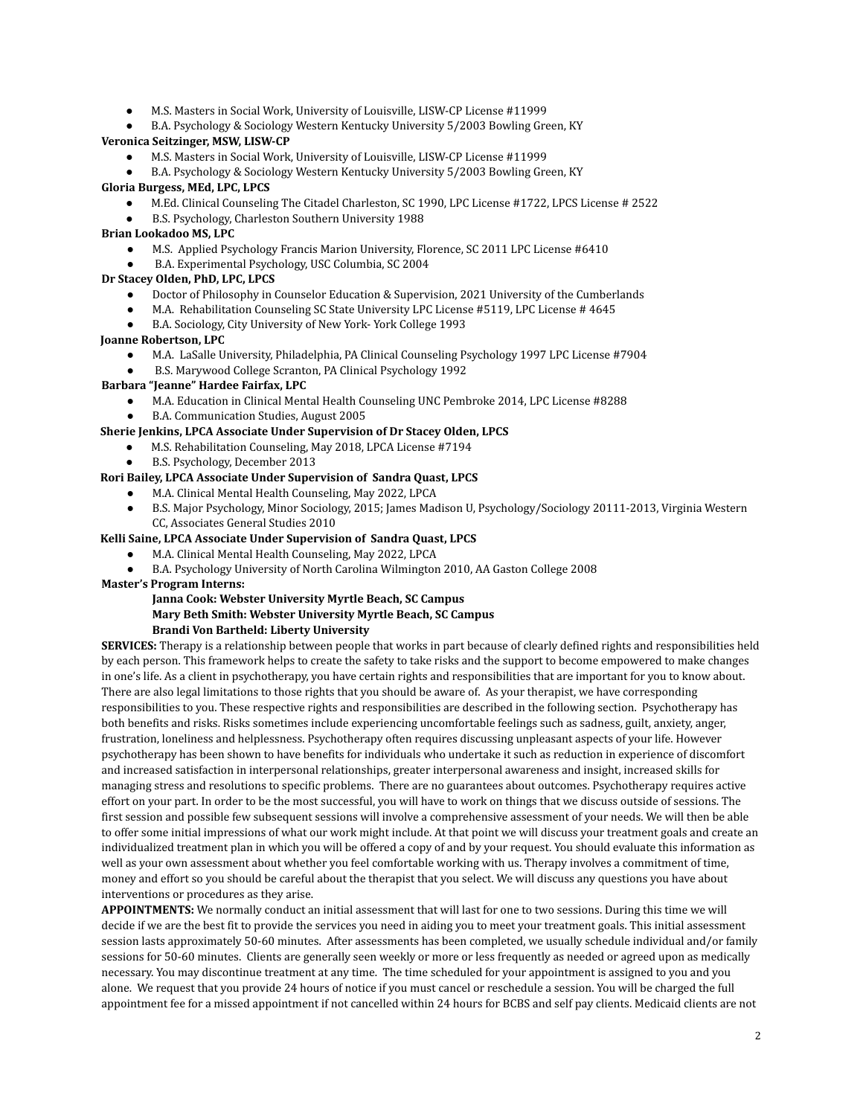- M.S. Masters in Social Work, University of Louisville, LISW-CP License #11999
- B.A. Psychology & Sociology Western Kentucky University 5/2003 Bowling Green, KY

#### **Veronica Seitzinger, MSW, LISW-CP**

- M.S. Masters in Social Work, University of Louisville, LISW-CP License #11999
- B.A. Psychology & Sociology Western Kentucky University 5/2003 Bowling Green, KY

### **Gloria Burgess, MEd, LPC, LPCS**

- M.Ed. Clinical Counseling The Citadel Charleston, SC 1990, LPC License #1722, LPCS License # 2522
- B.S. Psychology, Charleston Southern University 1988

#### **Brian Lookadoo MS, LPC**

- M.S. Applied Psychology Francis Marion University, Florence, SC 2011 LPC License #6410
- B.A. Experimental Psychology, USC Columbia, SC 2004

#### **Dr Stacey Olden, PhD, LPC, LPCS**

- Doctor of Philosophy in Counselor Education & Supervision, 2021 University of the Cumberlands
- M.A. Rehabilitation Counseling SC State University LPC License #5119, LPC License # 4645
- B.A. Sociology, City University of New York- York College 1993

#### **Joanne Robertson, LPC**

- M.A. LaSalle University, Philadelphia, PA Clinical Counseling Psychology 1997 LPC License #7904
- B.S. Marywood College Scranton, PA Clinical Psychology 1992

#### **Barbara "Jeanne" Hardee Fairfax, LPC**

- M.A. Education in Clinical Mental Health Counseling UNC Pembroke 2014, LPC License #8288
- B.A. Communication Studies, August 2005

#### **Sherie Jenkins, LPCA Associate Under Supervision of Dr Stacey Olden, LPCS**

- M.S. Rehabilitation Counseling, May 2018, LPCA License #7194
- B.S. Psychology, December 2013

#### **Rori Bailey, LPCA Associate Under Supervision of Sandra Quast, LPCS**

- M.A. Clinical Mental Health Counseling, May 2022, LPCA
- B.S. Major Psychology, Minor Sociology, 2015; James Madison U, Psychology/Sociology 20111-2013, Virginia Western CC, Associates General Studies 2010

#### **Kelli Saine, LPCA Associate Under Supervision of Sandra Quast, LPCS**

- M.A. Clinical Mental Health Counseling, May 2022, LPCA
- B.A. Psychology University of North Carolina Wilmington 2010, AA Gaston College 2008

#### **Master's Program Interns:**

# **Janna Cook: Webster University Myrtle Beach, SC Campus Mary Beth Smith: Webster University Myrtle Beach, SC Campus**

#### **Brandi Von Bartheld: Liberty University**

**SERVICES:** Therapy is a relationship between people that works in part because of clearly defined rights and responsibilities held by each person. This framework helps to create the safety to take risks and the support to become empowered to make changes in one's life. As a client in psychotherapy, you have certain rights and responsibilities that are important for you to know about. There are also legal limitations to those rights that you should be aware of. As your therapist, we have corresponding responsibilities to you. These respective rights and responsibilities are described in the following section. Psychotherapy has both benefits and risks. Risks sometimes include experiencing uncomfortable feelings such as sadness, guilt, anxiety, anger, frustration, loneliness and helplessness. Psychotherapy often requires discussing unpleasant aspects of your life. However psychotherapy has been shown to have benefits for individuals who undertake it such as reduction in experience of discomfort and increased satisfaction in interpersonal relationships, greater interpersonal awareness and insight, increased skills for managing stress and resolutions to specific problems. There are no guarantees about outcomes. Psychotherapy requires active effort on your part. In order to be the most successful, you will have to work on things that we discuss outside of sessions. The first session and possible few subsequent sessions will involve a comprehensive assessment of your needs. We will then be able to offer some initial impressions of what our work might include. At that point we will discuss your treatment goals and create an individualized treatment plan in which you will be offered a copy of and by your request. You should evaluate this information as well as your own assessment about whether you feel comfortable working with us. Therapy involves a commitment of time, money and effort so you should be careful about the therapist that you select. We will discuss any questions you have about interventions or procedures as they arise.

**APPOINTMENTS:** We normally conduct an initial assessment that will last for one to two sessions. During this time we will decide if we are the best fit to provide the services you need in aiding you to meet your treatment goals. This initial assessment session lasts approximately 50-60 minutes. After assessments has been completed, we usually schedule individual and/or family sessions for 50-60 minutes. Clients are generally seen weekly or more or less frequently as needed or agreed upon as medically necessary. You may discontinue treatment at any time. The time scheduled for your appointment is assigned to you and you alone. We request that you provide 24 hours of notice if you must cancel or reschedule a session. You will be charged the full appointment fee for a missed appointment if not cancelled within 24 hours for BCBS and self pay clients. Medicaid clients are not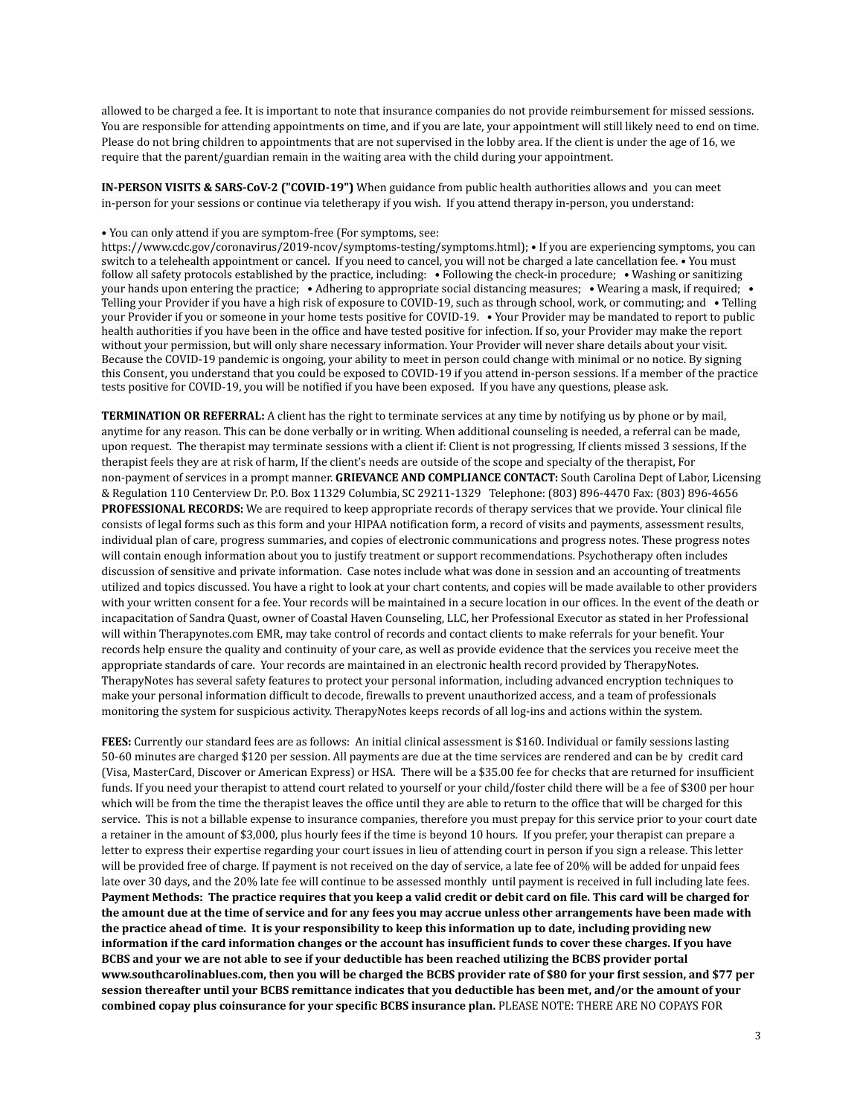allowed to be charged a fee. It is important to note that insurance companies do not provide reimbursement for missed sessions. You are responsible for attending appointments on time, and if you are late, your appointment will still likely need to end on time. Please do not bring children to appointments that are not supervised in the lobby area. If the client is under the age of 16, we require that the parent/guardian remain in the waiting area with the child during your appointment.

**IN-PERSON VISITS & SARS-CoV-2 ("COVID-19")** When guidance from public health authorities allows and you can meet in-person for your sessions or continue via teletherapy if you wish. If you attend therapy in-person, you understand:

#### • You can only attend if you are symptom-free (For symptoms, see:

https://www.cdc.gov/coronavirus/2019-ncov/symptoms-testing/symptoms.html); • If you are experiencing symptoms, you can switch to a telehealth appointment or cancel. If you need to cancel, you will not be charged a late cancellation fee. • You must follow all safety protocols established by the practice, including: • Following the check-in procedure; • Washing or sanitizing your hands upon entering the practice; • Adhering to appropriate social distancing measures; • Wearing a mask, if required; • Telling your Provider if you have a high risk of exposure to COVID-19, such as through school, work, or commuting; and • Telling your Provider if you or someone in your home tests positive for COVID-19. • Your Provider may be mandated to report to public health authorities if you have been in the office and have tested positive for infection. If so, your Provider may make the report without your permission, but will only share necessary information. Your Provider will never share details about your visit. Because the COVID-19 pandemic is ongoing, your ability to meet in person could change with minimal or no notice. By signing this Consent, you understand that you could be exposed to COVID-19 if you attend in-person sessions. If a member of the practice tests positive for COVID-19, you will be notified if you have been exposed. If you have any questions, please ask.

**TERMINATION OR REFERRAL:** A client has the right to terminate services at any time by notifying us by phone or by mail, anytime for any reason. This can be done verbally or in writing. When additional counseling is needed, a referral can be made, upon request. The therapist may terminate sessions with a client if: Client is not progressing, If clients missed 3 sessions, If the therapist feels they are at risk of harm, If the client's needs are outside of the scope and specialty of the therapist, For non-payment of services in a prompt manner. **GRIEVANCE AND COMPLIANCE CONTACT:** South Carolina Dept of Labor, Licensing & Regulation 110 Centerview Dr. P.O. Box 11329 Columbia, SC 29211-1329 Telephone: (803) 896-4470 Fax: (803) 896-4656 **PROFESSIONAL RECORDS:** We are required to keep appropriate records of therapy services that we provide. Your clinical file consists of legal forms such as this form and your HIPAA notification form, a record of visits and payments, assessment results, individual plan of care, progress summaries, and copies of electronic communications and progress notes. These progress notes will contain enough information about you to justify treatment or support recommendations. Psychotherapy often includes discussion of sensitive and private information. Case notes include what was done in session and an accounting of treatments utilized and topics discussed. You have a right to look at your chart contents, and copies will be made available to other providers with your written consent for a fee. Your records will be maintained in a secure location in our offices. In the event of the death or incapacitation of Sandra Quast, owner of Coastal Haven Counseling, LLC, her Professional Executor as stated in her Professional will within Therapynotes.com EMR, may take control of records and contact clients to make referrals for your benefit. Your records help ensure the quality and continuity of your care, as well as provide evidence that the services you receive meet the appropriate standards of care. Your records are maintained in an electronic health record provided by TherapyNotes. TherapyNotes has several safety features to protect your personal information, including advanced encryption techniques to make your personal information difficult to decode, firewalls to prevent unauthorized access, and a team of professionals monitoring the system for suspicious activity. TherapyNotes keeps records of all log-ins and actions within the system.

**FEES:** Currently our standard fees are as follows: An initial clinical assessment is \$160. Individual or family sessions lasting 50-60 minutes are charged \$120 per session. All payments are due at the time services are rendered and can be by credit card (Visa, MasterCard, Discover or American Express) or HSA. There will be a \$35.00 fee for checks that are returned for insufficient funds. If you need your therapist to attend court related to yourself or your child/foster child there will be a fee of \$300 per hour which will be from the time the therapist leaves the office until they are able to return to the office that will be charged for this service. This is not a billable expense to insurance companies, therefore you must prepay for this service prior to your court date a retainer in the amount of \$3,000, plus hourly fees if the time is beyond 10 hours. If you prefer, your therapist can prepare a letter to express their expertise regarding your court issues in lieu of attending court in person if you sign a release. This letter will be provided free of charge. If payment is not received on the day of service, a late fee of 20% will be added for unpaid fees late over 30 days, and the 20% late fee will continue to be assessed monthly until payment is received in full including late fees. Payment Methods: The practice requires that you keep a valid credit or debit card on file. This card will be charged for the amount due at the time of service and for any fees you may accrue unless other arrangements have been made with the practice ahead of time. It is your responsibility to keep this information up to date, including providing new information if the card information changes or the account has insufficient funds to cover these charges. If you have BCBS and your we are not able to see if your deductible has been reached utilizing the BCBS provider portal www.southcarolinablues.com, then you will be charged the BCBS provider rate of \$80 for your first session, and \$77 per session thereafter until your BCBS remittance indicates that you deductible has been met, and/or the amount of your **combined copay plus coinsurance for your specific BCBS insurance plan.** PLEASE NOTE: THERE ARE NO COPAYS FOR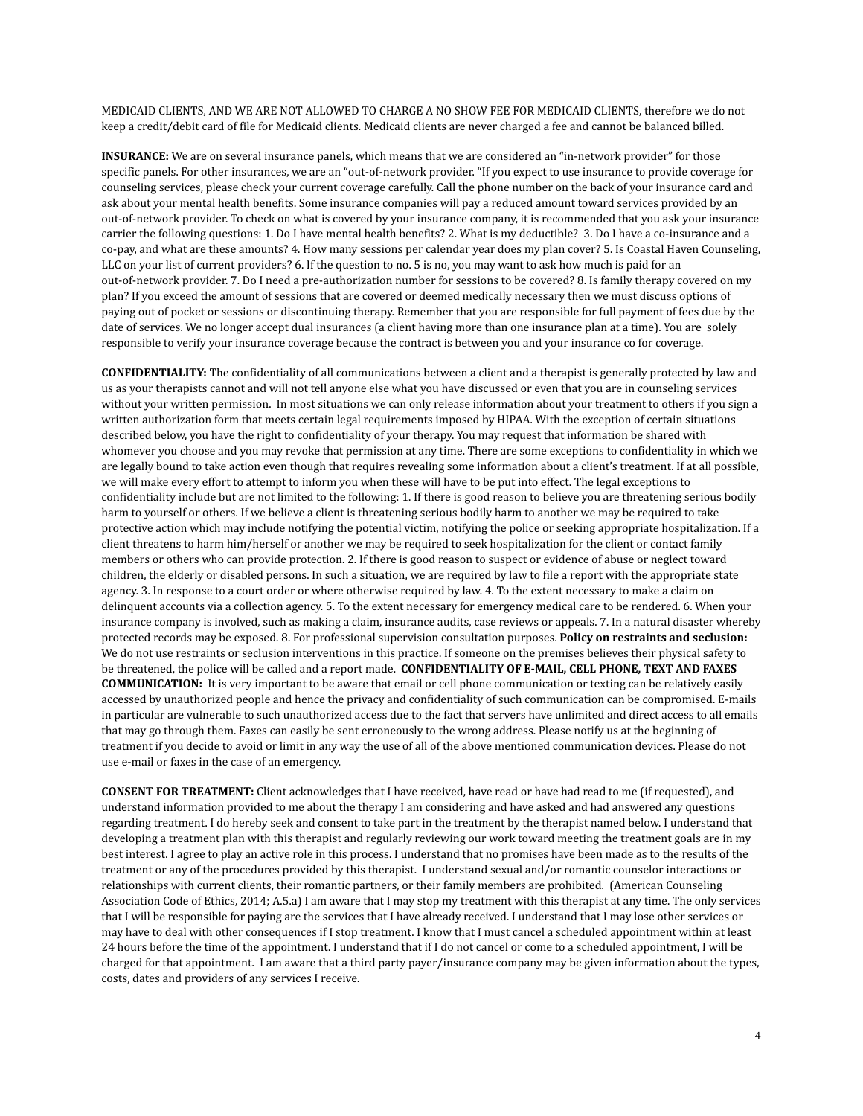MEDICAID CLIENTS, AND WE ARE NOT ALLOWED TO CHARGE A NO SHOW FEE FOR MEDICAID CLIENTS, therefore we do not keep a credit/debit card of file for Medicaid clients. Medicaid clients are never charged a fee and cannot be balanced billed.

**INSURANCE:** We are on several insurance panels, which means that we are considered an "in-network provider" for those specific panels. For other insurances, we are an "out-of-network provider. "If you expect to use insurance to provide coverage for counseling services, please check your current coverage carefully. Call the phone number on the back of your insurance card and ask about your mental health benefits. Some insurance companies will pay a reduced amount toward services provided by an out-of-network provider. To check on what is covered by your insurance company, it is recommended that you ask your insurance carrier the following questions: 1. Do I have mental health benefits? 2. What is my deductible? 3. Do I have a co-insurance and a co-pay, and what are these amounts? 4. How many sessions per calendar year does my plan cover? 5. Is Coastal Haven Counseling, LLC on your list of current providers? 6. If the question to no. 5 is no, you may want to ask how much is paid for an out-of-network provider. 7. Do I need a pre-authorization number for sessions to be covered? 8. Is family therapy covered on my plan? If you exceed the amount of sessions that are covered or deemed medically necessary then we must discuss options of paying out of pocket or sessions or discontinuing therapy. Remember that you are responsible for full payment of fees due by the date of services. We no longer accept dual insurances (a client having more than one insurance plan at a time). You are solely responsible to verify your insurance coverage because the contract is between you and your insurance co for coverage.

**CONFIDENTIALITY:** The confidentiality of all communications between a client and a therapist is generally protected by law and us as your therapists cannot and will not tell anyone else what you have discussed or even that you are in counseling services without your written permission. In most situations we can only release information about your treatment to others if you sign a written authorization form that meets certain legal requirements imposed by HIPAA. With the exception of certain situations described below, you have the right to confidentiality of your therapy. You may request that information be shared with whomever you choose and you may revoke that permission at any time. There are some exceptions to confidentiality in which we are legally bound to take action even though that requires revealing some information about a client's treatment. If at all possible, we will make every effort to attempt to inform you when these will have to be put into effect. The legal exceptions to confidentiality include but are not limited to the following: 1. If there is good reason to believe you are threatening serious bodily harm to yourself or others. If we believe a client is threatening serious bodily harm to another we may be required to take protective action which may include notifying the potential victim, notifying the police or seeking appropriate hospitalization. If a client threatens to harm him/herself or another we may be required to seek hospitalization for the client or contact family members or others who can provide protection. 2. If there is good reason to suspect or evidence of abuse or neglect toward children, the elderly or disabled persons. In such a situation, we are required by law to file a report with the appropriate state agency. 3. In response to a court order or where otherwise required by law. 4. To the extent necessary to make a claim on delinquent accounts via a collection agency. 5. To the extent necessary for emergency medical care to be rendered. 6. When your insurance company is involved, such as making a claim, insurance audits, case reviews or appeals. 7. In a natural disaster whereby protected records may be exposed. 8. For professional supervision consultation purposes. **Policy on restraints and seclusion:** We do not use restraints or seclusion interventions in this practice. If someone on the premises believes their physical safety to be threatened, the police will be called and a report made. **CONFIDENTIALITY OF E-MAIL, CELL PHONE, TEXT AND FAXES COMMUNICATION:** It is very important to be aware that email or cell phone communication or texting can be relatively easily accessed by unauthorized people and hence the privacy and confidentiality of such communication can be compromised. E-mails in particular are vulnerable to such unauthorized access due to the fact that servers have unlimited and direct access to all emails that may go through them. Faxes can easily be sent erroneously to the wrong address. Please notify us at the beginning of treatment if you decide to avoid or limit in any way the use of all of the above mentioned communication devices. Please do not use e-mail or faxes in the case of an emergency.

**CONSENT FOR TREATMENT:** Client acknowledges that I have received, have read or have had read to me (if requested), and understand information provided to me about the therapy I am considering and have asked and had answered any questions regarding treatment. I do hereby seek and consent to take part in the treatment by the therapist named below. I understand that developing a treatment plan with this therapist and regularly reviewing our work toward meeting the treatment goals are in my best interest. I agree to play an active role in this process. I understand that no promises have been made as to the results of the treatment or any of the procedures provided by this therapist. I understand sexual and/or romantic counselor interactions or relationships with current clients, their romantic partners, or their family members are prohibited. (American Counseling Association Code of Ethics, 2014; A.5.a) I am aware that I may stop my treatment with this therapist at any time. The only services that I will be responsible for paying are the services that I have already received. I understand that I may lose other services or may have to deal with other consequences if I stop treatment. I know that I must cancel a scheduled appointment within at least 24 hours before the time of the appointment. I understand that if I do not cancel or come to a scheduled appointment, I will be charged for that appointment. I am aware that a third party payer/insurance company may be given information about the types, costs, dates and providers of any services I receive.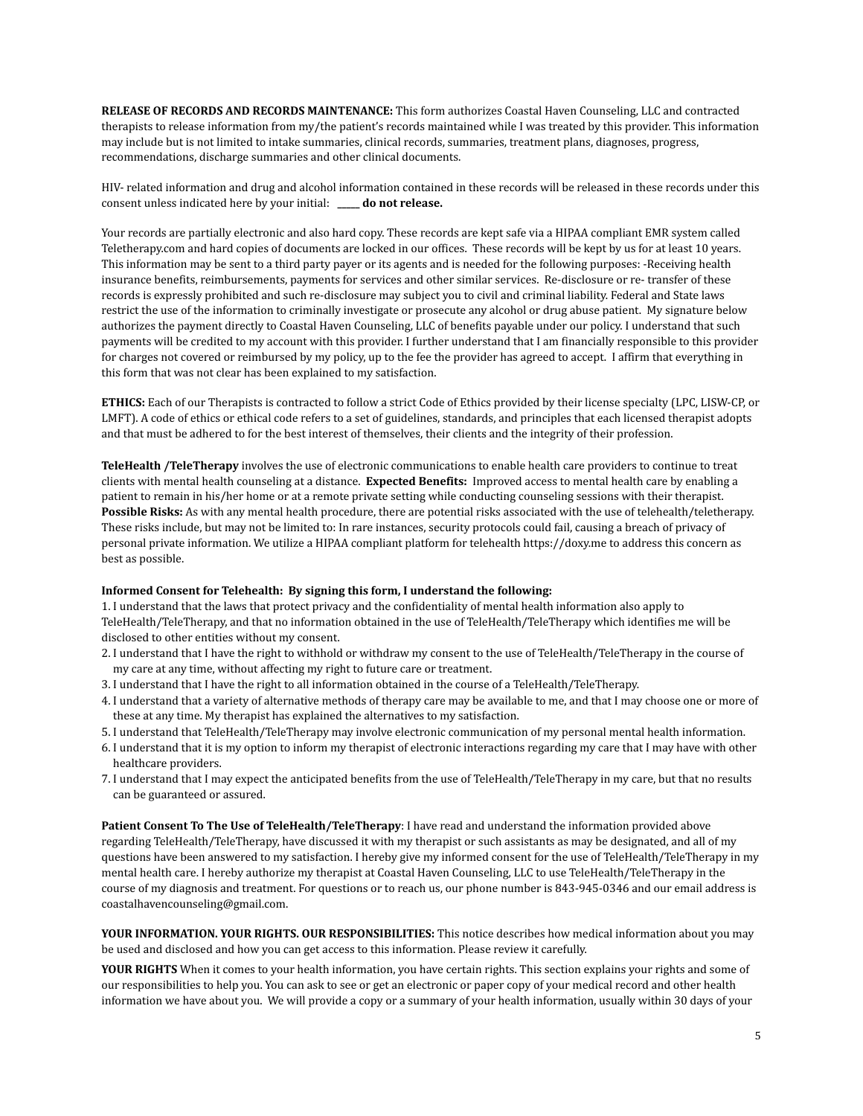**RELEASE OF RECORDS AND RECORDS MAINTENANCE:** This form authorizes Coastal Haven Counseling, LLC and contracted therapists to release information from my/the patient's records maintained while I was treated by this provider. This information may include but is not limited to intake summaries, clinical records, summaries, treatment plans, diagnoses, progress, recommendations, discharge summaries and other clinical documents.

HIV- related information and drug and alcohol information contained in these records will be released in these records under this consent unless indicated here by your initial: **\_\_\_\_\_ do not release.**

Your records are partially electronic and also hard copy. These records are kept safe via a HIPAA compliant EMR system called Teletherapy.com and hard copies of documents are locked in our offices. These records will be kept by us for at least 10 years. This information may be sent to a third party payer or its agents and is needed for the following purposes: -Receiving health insurance benefits, reimbursements, payments for services and other similar services. Re-disclosure or re- transfer of these records is expressly prohibited and such re-disclosure may subject you to civil and criminal liability. Federal and State laws restrict the use of the information to criminally investigate or prosecute any alcohol or drug abuse patient. My signature below authorizes the payment directly to Coastal Haven Counseling, LLC of benefits payable under our policy. I understand that such payments will be credited to my account with this provider. I further understand that I am financially responsible to this provider for charges not covered or reimbursed by my policy, up to the fee the provider has agreed to accept. I affirm that everything in this form that was not clear has been explained to my satisfaction.

**ETHICS:** Each of our Therapists is contracted to follow a strict Code of Ethics provided by their license specialty (LPC, LISW-CP, or LMFT). A code of ethics or ethical code refers to a set of guidelines, standards, and principles that each licensed therapist adopts and that must be adhered to for the best interest of themselves, their clients and the integrity of their profession.

**TeleHealth /TeleTherapy** involves the use of electronic communications to enable health care providers to continue to treat clients with mental health counseling at a distance. **Expected Benefits:** Improved access to mental health care by enabling a patient to remain in his/her home or at a remote private setting while conducting counseling sessions with their therapist. **Possible Risks:** As with any mental health procedure, there are potential risks associated with the use of telehealth/teletherapy. These risks include, but may not be limited to: In rare instances, security protocols could fail, causing a breach of privacy of personal private information. We utilize a HIPAA compliant platform for telehealth https://doxy.me to address this concern as best as possible.

#### **Informed Consent for Telehealth: By signing this form, I understand the following:**

1. I understand that the laws that protect privacy and the confidentiality of mental health information also apply to TeleHealth/TeleTherapy, and that no information obtained in the use of TeleHealth/TeleTherapy which identifies me will be disclosed to other entities without my consent.

- 2. I understand that I have the right to withhold or withdraw my consent to the use of TeleHealth/TeleTherapy in the course of my care at any time, without affecting my right to future care or treatment.
- 3. I understand that I have the right to all information obtained in the course of a TeleHealth/TeleTherapy.
- 4. I understand that a variety of alternative methods of therapy care may be available to me, and that I may choose one or more of these at any time. My therapist has explained the alternatives to my satisfaction.
- 5. I understand that TeleHealth/TeleTherapy may involve electronic communication of my personal mental health information.
- 6. I understand that it is my option to inform my therapist of electronic interactions regarding my care that I may have with other healthcare providers.
- 7. I understand that I may expect the anticipated benefits from the use of TeleHealth/TeleTherapy in my care, but that no results can be guaranteed or assured.

**Patient Consent To The Use of TeleHealth/TeleTherapy**: I have read and understand the information provided above regarding TeleHealth/TeleTherapy, have discussed it with my therapist or such assistants as may be designated, and all of my questions have been answered to my satisfaction. I hereby give my informed consent for the use of TeleHealth/TeleTherapy in my mental health care. I hereby authorize my therapist at Coastal Haven Counseling, LLC to use TeleHealth/TeleTherapy in the course of my diagnosis and treatment. For questions or to reach us, our phone number is 843-945-0346 and our email address is coastalhavencounseling@gmail.com.

**YOUR INFORMATION. YOUR RIGHTS. OUR RESPONSIBILITIES:** This notice describes how medical information about you may be used and disclosed and how you can get access to this information. Please review it carefully.

**YOUR RIGHTS** When it comes to your health information, you have certain rights. This section explains your rights and some of our responsibilities to help you. You can ask to see or get an electronic or paper copy of your medical record and other health information we have about you. We will provide a copy or a summary of your health information, usually within 30 days of your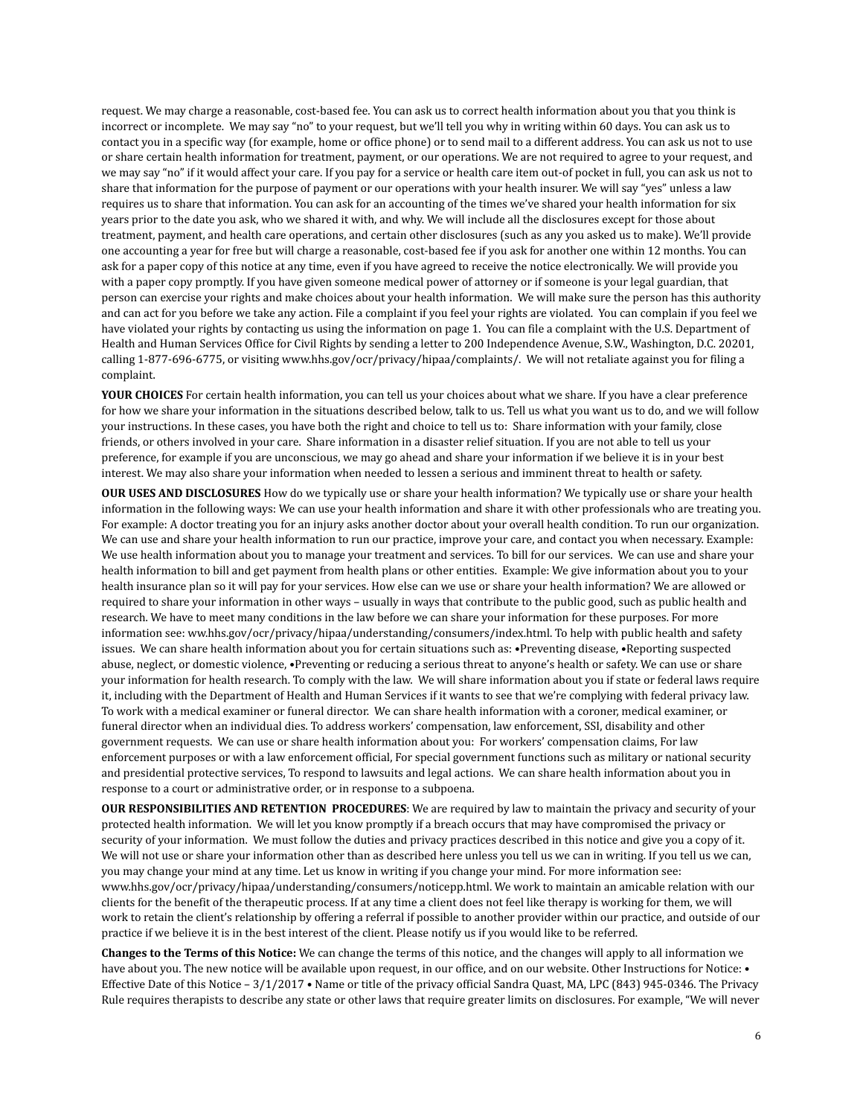request. We may charge a reasonable, cost-based fee. You can ask us to correct health information about you that you think is incorrect or incomplete. We may say "no" to your request, but we'll tell you why in writing within 60 days. You can ask us to contact you in a specific way (for example, home or office phone) or to send mail to a different address. You can ask us not to use or share certain health information for treatment, payment, or our operations. We are not required to agree to your request, and we may say "no" if it would affect your care. If you pay for a service or health care item out-of pocket in full, you can ask us not to share that information for the purpose of payment or our operations with your health insurer. We will say "yes" unless a law requires us to share that information. You can ask for an accounting of the times we've shared your health information for six years prior to the date you ask, who we shared it with, and why. We will include all the disclosures except for those about treatment, payment, and health care operations, and certain other disclosures (such as any you asked us to make). We'll provide one accounting a year for free but will charge a reasonable, cost-based fee if you ask for another one within 12 months. You can ask for a paper copy of this notice at any time, even if you have agreed to receive the notice electronically. We will provide you with a paper copy promptly. If you have given someone medical power of attorney or if someone is your legal guardian, that person can exercise your rights and make choices about your health information. We will make sure the person has this authority and can act for you before we take any action. File a complaint if you feel your rights are violated. You can complain if you feel we have violated your rights by contacting us using the information on page 1. You can file a complaint with the U.S. Department of Health and Human Services Office for Civil Rights by sending a letter to 200 Independence Avenue, S.W., Washington, D.C. 20201, calling 1-877-696-6775, or visiting www.hhs.gov/ocr/privacy/hipaa/complaints/. We will not retaliate against you for filing a complaint.

**YOUR CHOICES** For certain health information, you can tell us your choices about what we share. If you have a clear preference for how we share your information in the situations described below, talk to us. Tell us what you want us to do, and we will follow your instructions. In these cases, you have both the right and choice to tell us to: Share information with your family, close friends, or others involved in your care. Share information in a disaster relief situation. If you are not able to tell us your preference, for example if you are unconscious, we may go ahead and share your information if we believe it is in your best interest. We may also share your information when needed to lessen a serious and imminent threat to health or safety.

**OUR USES AND DISCLOSURES** How do we typically use or share your health information? We typically use or share your health information in the following ways: We can use your health information and share it with other professionals who are treating you. For example: A doctor treating you for an injury asks another doctor about your overall health condition. To run our organization. We can use and share your health information to run our practice, improve your care, and contact you when necessary. Example: We use health information about you to manage your treatment and services. To bill for our services. We can use and share your health information to bill and get payment from health plans or other entities. Example: We give information about you to your health insurance plan so it will pay for your services. How else can we use or share your health information? We are allowed or required to share your information in other ways – usually in ways that contribute to the public good, such as public health and research. We have to meet many conditions in the law before we can share your information for these purposes. For more information see: ww.hhs.gov/ocr/privacy/hipaa/understanding/consumers/index.html. To help with public health and safety issues. We can share health information about you for certain situations such as: •Preventing disease, •Reporting suspected abuse, neglect, or domestic violence, •Preventing or reducing a serious threat to anyone's health or safety. We can use or share your information for health research. To comply with the law. We will share information about you if state or federal laws require it, including with the Department of Health and Human Services if it wants to see that we're complying with federal privacy law. To work with a medical examiner or funeral director. We can share health information with a coroner, medical examiner, or funeral director when an individual dies. To address workers' compensation, law enforcement, SSI, disability and other government requests. We can use or share health information about you: For workers' compensation claims, For law enforcement purposes or with a law enforcement official, For special government functions such as military or national security and presidential protective services, To respond to lawsuits and legal actions. We can share health information about you in response to a court or administrative order, or in response to a subpoena.

**OUR RESPONSIBILITIES AND RETENTION PROCEDURES**: We are required by law to maintain the privacy and security of your protected health information. We will let you know promptly if a breach occurs that may have compromised the privacy or security of your information. We must follow the duties and privacy practices described in this notice and give you a copy of it. We will not use or share your information other than as described here unless you tell us we can in writing. If you tell us we can, you may change your mind at any time. Let us know in writing if you change your mind. For more information see: www.hhs.gov/ocr/privacy/hipaa/understanding/consumers/noticepp.html. We work to maintain an amicable relation with our clients for the benefit of the therapeutic process. If at any time a client does not feel like therapy is working for them, we will work to retain the client's relationship by offering a referral if possible to another provider within our practice, and outside of our practice if we believe it is in the best interest of the client. Please notify us if you would like to be referred.

**Changes to the Terms of this Notice:** We can change the terms of this notice, and the changes will apply to all information we have about you. The new notice will be available upon request, in our office, and on our website. Other Instructions for Notice: • Effective Date of this Notice – 3/1/2017 • Name or title of the privacy official Sandra Quast, MA, LPC (843) 945-0346. The Privacy Rule requires therapists to describe any state or other laws that require greater limits on disclosures. For example, "We will never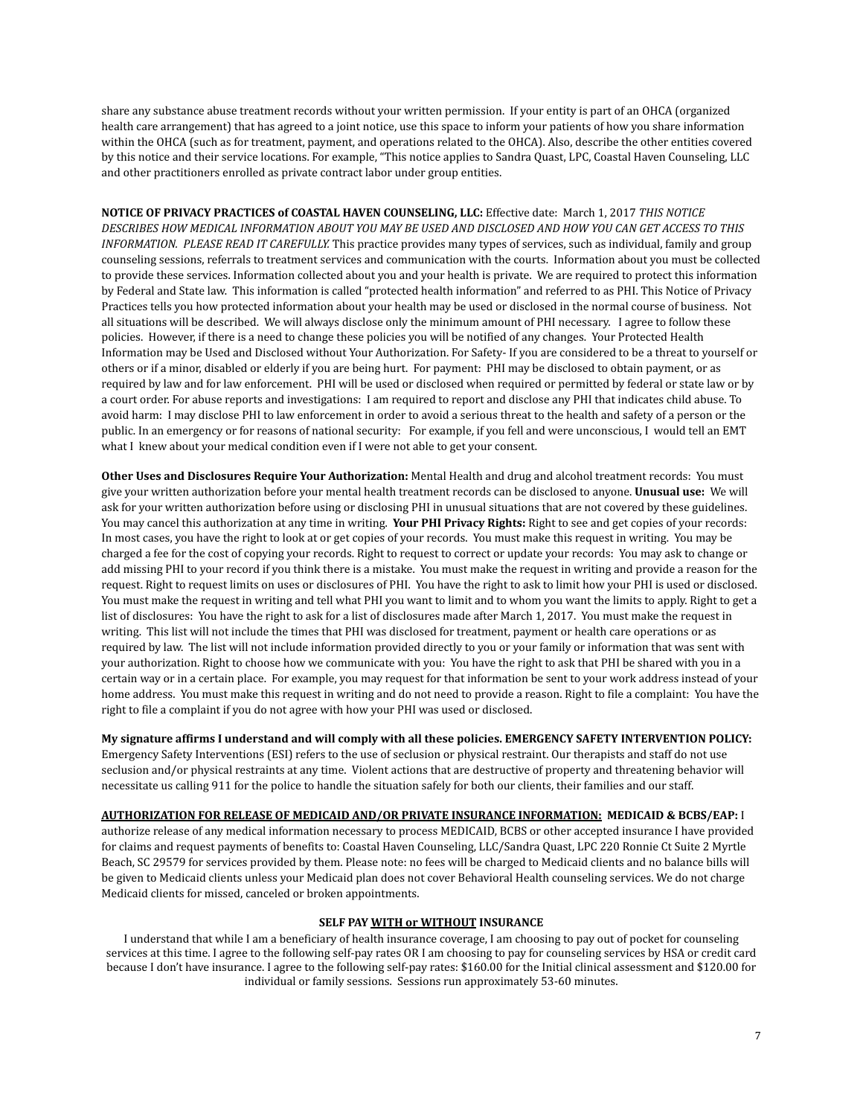share any substance abuse treatment records without your written permission. If your entity is part of an OHCA (organized health care arrangement) that has agreed to a joint notice, use this space to inform your patients of how you share information within the OHCA (such as for treatment, payment, and operations related to the OHCA). Also, describe the other entities covered by this notice and their service locations. For example, "This notice applies to Sandra Quast, LPC, Coastal Haven Counseling, LLC and other practitioners enrolled as private contract labor under group entities.

**NOTICE OF PRIVACY PRACTICES of COASTAL HAVEN COUNSELING, LLC:** Effective date: March 1, 2017 *THIS NOTICE* DESCRIBES HOW MEDICAL INFORMATION ABOUT YOU MAY BE USED AND DISCLOSED AND HOW YOU CAN GET ACCESS TO THIS *INFORMATION. PLEASE READ IT CAREFULLY.* This practice provides many types of services, such as individual, family and group counseling sessions, referrals to treatment services and communication with the courts. Information about you must be collected to provide these services. Information collected about you and your health is private. We are required to protect this information by Federal and State law. This information is called "protected health information" and referred to as PHI. This Notice of Privacy Practices tells you how protected information about your health may be used or disclosed in the normal course of business. Not all situations will be described. We will always disclose only the minimum amount of PHI necessary. I agree to follow these policies. However, if there is a need to change these policies you will be notified of any changes. Your Protected Health Information may be Used and Disclosed without Your Authorization. For Safety- If you are considered to be a threat to yourself or others or if a minor, disabled or elderly if you are being hurt. For payment: PHI may be disclosed to obtain payment, or as required by law and for law enforcement. PHI will be used or disclosed when required or permitted by federal or state law or by a court order. For abuse reports and investigations: I am required to report and disclose any PHI that indicates child abuse. To avoid harm: I may disclose PHI to law enforcement in order to avoid a serious threat to the health and safety of a person or the public. In an emergency or for reasons of national security: For example, if you fell and were unconscious, I would tell an EMT what I knew about your medical condition even if I were not able to get your consent.

**Other Uses and Disclosures Require Your Authorization:** Mental Health and drug and alcohol treatment records: You must give your written authorization before your mental health treatment records can be disclosed to anyone. **Unusual use:** We will ask for your written authorization before using or disclosing PHI in unusual situations that are not covered by these guidelines. You may cancel this authorization at any time in writing. **Your PHI Privacy Rights:** Right to see and get copies of your records: In most cases, you have the right to look at or get copies of your records. You must make this request in writing. You may be charged a fee for the cost of copying your records. Right to request to correct or update your records: You may ask to change or add missing PHI to your record if you think there is a mistake. You must make the request in writing and provide a reason for the request. Right to request limits on uses or disclosures of PHI. You have the right to ask to limit how your PHI is used or disclosed. You must make the request in writing and tell what PHI you want to limit and to whom you want the limits to apply. Right to get a list of disclosures: You have the right to ask for a list of disclosures made after March 1, 2017. You must make the request in writing. This list will not include the times that PHI was disclosed for treatment, payment or health care operations or as required by law. The list will not include information provided directly to you or your family or information that was sent with your authorization. Right to choose how we communicate with you: You have the right to ask that PHI be shared with you in a certain way or in a certain place. For example, you may request for that information be sent to your work address instead of your home address. You must make this request in writing and do not need to provide a reason. Right to file a complaint: You have the right to file a complaint if you do not agree with how your PHI was used or disclosed.

**My signature affirms I understand and will comply with all these policies. EMERGENCY SAFETY INTERVENTION POLICY:** Emergency Safety Interventions (ESI) refers to the use of seclusion or physical restraint. Our therapists and staff do not use seclusion and/or physical restraints at any time. Violent actions that are destructive of property and threatening behavior will necessitate us calling 911 for the police to handle the situation safely for both our clients, their families and our staff.

**AUTHORIZATION FOR RELEASE OF MEDICAID AND/OR PRIVATE INSURANCE INFORMATION: MEDICAID & BCBS/EAP:** I authorize release of any medical information necessary to process MEDICAID, BCBS or other accepted insurance I have provided for claims and request payments of benefits to: Coastal Haven Counseling, LLC/Sandra Quast, LPC 220 Ronnie Ct Suite 2 Myrtle Beach, SC 29579 for services provided by them. Please note: no fees will be charged to Medicaid clients and no balance bills will be given to Medicaid clients unless your Medicaid plan does not cover Behavioral Health counseling services. We do not charge Medicaid clients for missed, canceled or broken appointments.

#### **SELF PAY WITH or WITHOUT INSURANCE**

I understand that while I am a beneficiary of health insurance coverage, I am choosing to pay out of pocket for counseling services at this time. I agree to the following self-pay rates OR I am choosing to pay for counseling services by HSA or credit card because I don't have insurance. I agree to the following self-pay rates: \$160.00 for the Initial clinical assessment and \$120.00 for individual or family sessions. Sessions run approximately 53-60 minutes.